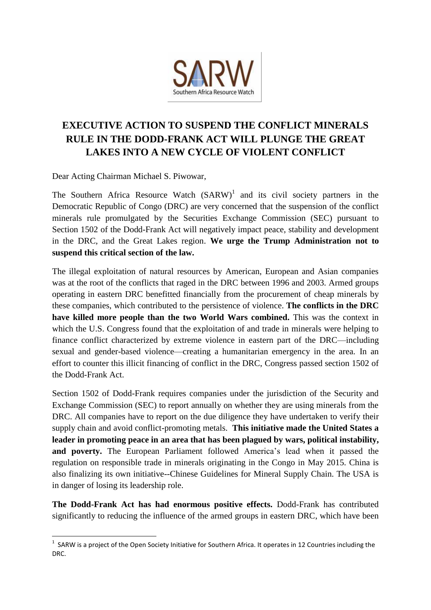

## **EXECUTIVE ACTION TO SUSPEND THE CONFLICT MINERALS RULE IN THE DODD-FRANK ACT WILL PLUNGE THE GREAT LAKES INTO A NEW CYCLE OF VIOLENT CONFLICT**

Dear Acting Chairman Michael S. Piwowar,

The Southern Africa Resource Watch  $(SARW)^1$  and its civil society partners in the Democratic Republic of Congo (DRC) are very concerned that the suspension of the conflict minerals rule promulgated by the Securities Exchange Commission (SEC) pursuant to Section 1502 of the Dodd-Frank Act will negatively impact peace, stability and development in the DRC, and the Great Lakes region. **We urge the Trump Administration not to suspend this critical section of the law.**

The illegal exploitation of natural resources by American, European and Asian companies was at the root of the conflicts that raged in the DRC between 1996 and 2003. Armed groups operating in eastern DRC benefitted financially from the procurement of cheap minerals by these companies, which contributed to the persistence of violence. **The conflicts in the DRC have killed more people than the two World Wars combined.** This was the context in which the U.S. Congress found that the exploitation of and trade in minerals were helping to finance conflict characterized by extreme violence in eastern part of the DRC—including sexual and gender-based violence—creating a humanitarian emergency in the area. In an effort to counter this illicit financing of conflict in the DRC, Congress passed section 1502 of the Dodd-Frank Act.

Section 1502 of Dodd-Frank requires companies under the jurisdiction of the Security and Exchange Commission (SEC) to report annually on whether they are using minerals from the DRC. All companies have to report on the due diligence they have undertaken to verify their supply chain and avoid conflict-promoting metals. **This initiative made the United States a leader in promoting peace in an area that has been plagued by wars, political instability, and poverty.** The European Parliament followed America's lead when it passed the regulation on responsible trade in minerals originating in the Congo in May 2015. China is also finalizing its own initiative--Chinese Guidelines for Mineral Supply Chain. The USA is in danger of losing its leadership role.

**The Dodd-Frank Act has had enormous positive effects.** Dodd-Frank has contributed significantly to reducing the influence of the armed groups in eastern DRC, which have been

 1 SARW is a project of the Open Society Initiative for Southern Africa. It operates in 12 Countries including the DRC.